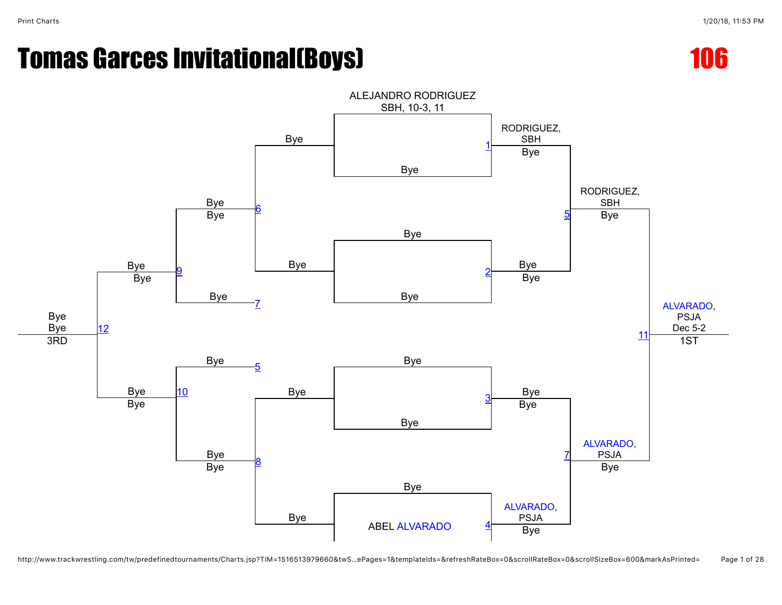



http://www.trackwrestling.com/tw/predefinedtournaments/Charts.jsp?TIM=1516513979660&twS…ePages=1&templateIds=&refreshRateBox=0&scrollRateBox=0&scrollSizeBox=600&markAsPrinted= Page 1 of 28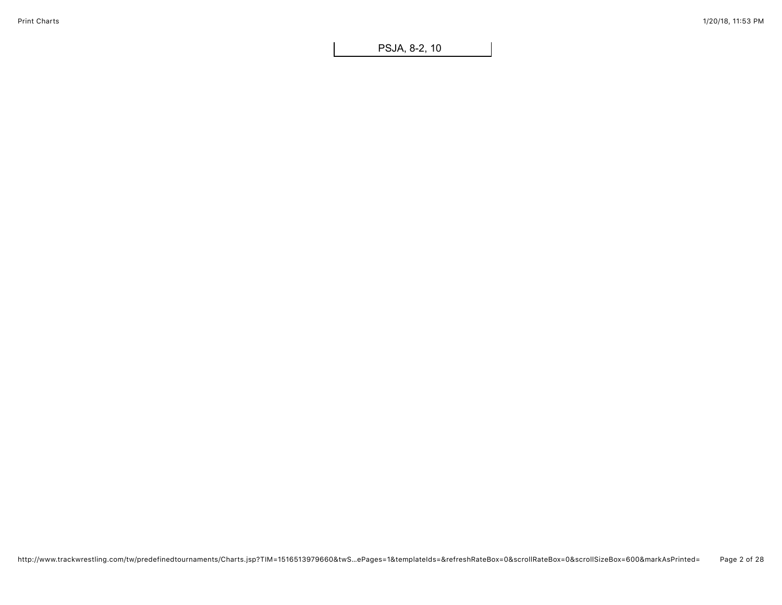PSJA, 8-2, 10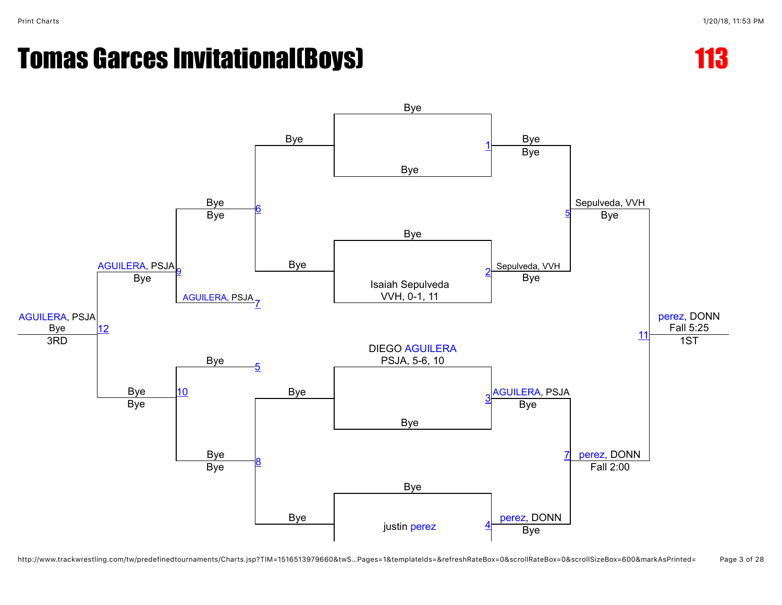

http://www.trackwrestling.com/tw/predefinedtournaments/Charts.jsp?TIM=1516513979660&twS…Pages=1&templateIds=&refreshRateBox=0&scrollRateBox=0&scrollSizeBox=600&markAsPrinted= Page 3 of 28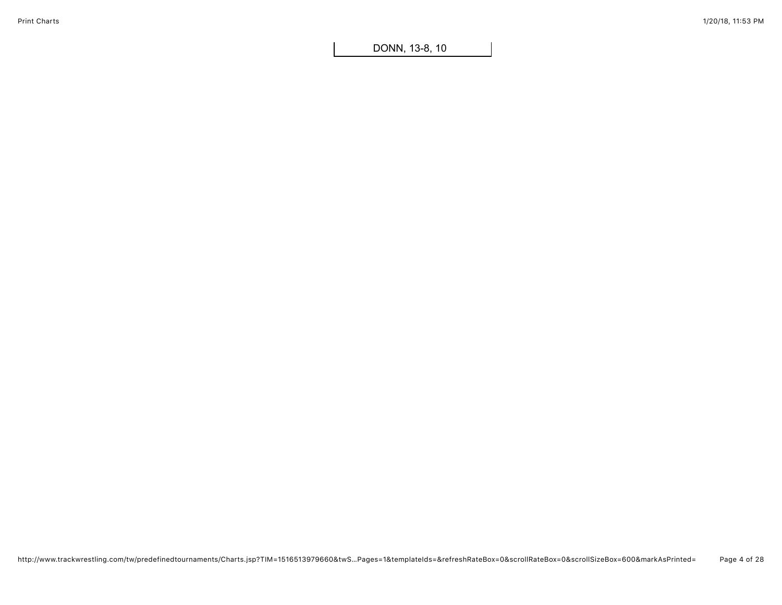DONN, 13-8, 10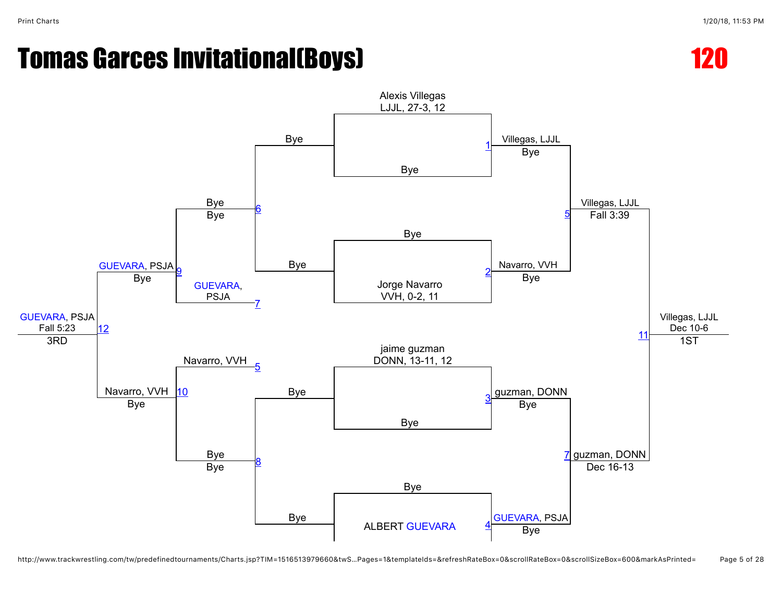



http://www.trackwrestling.com/tw/predefinedtournaments/Charts.jsp?TIM=1516513979660&twS…Pages=1&templateIds=&refreshRateBox=0&scrollRateBox=0&scrollSizeBox=600&markAsPrinted= Page 5 of 28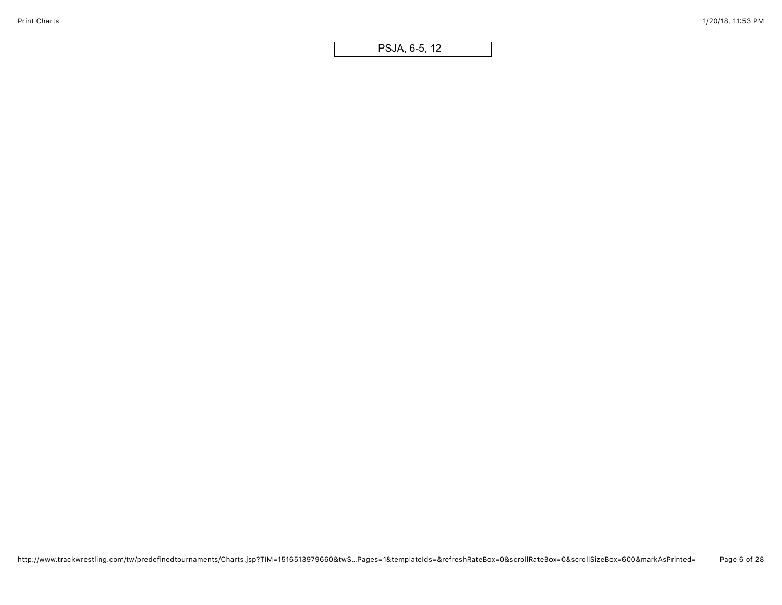PSJA, 6-5, 12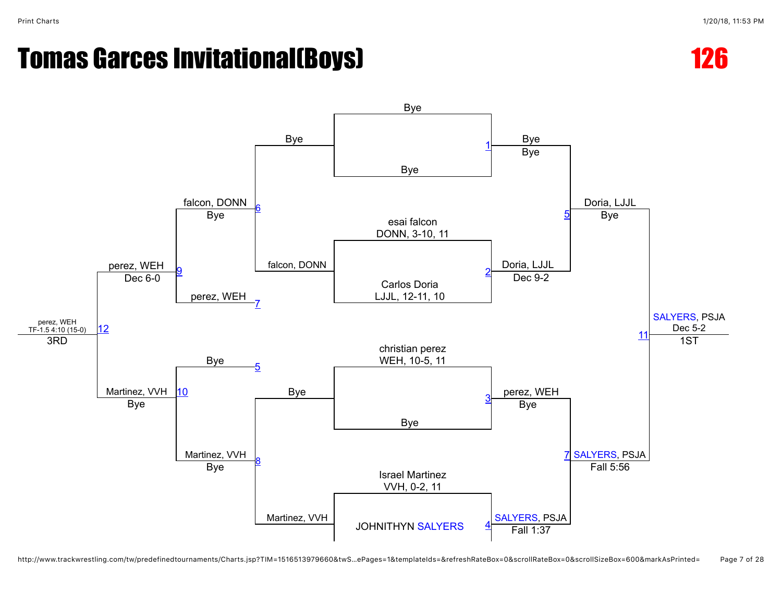



http://www.trackwrestling.com/tw/predefinedtournaments/Charts.jsp?TIM=1516513979660&twS…ePages=1&templateIds=&refreshRateBox=0&scrollRateBox=0&scrollSizeBox=600&markAsPrinted= Page 7 of 28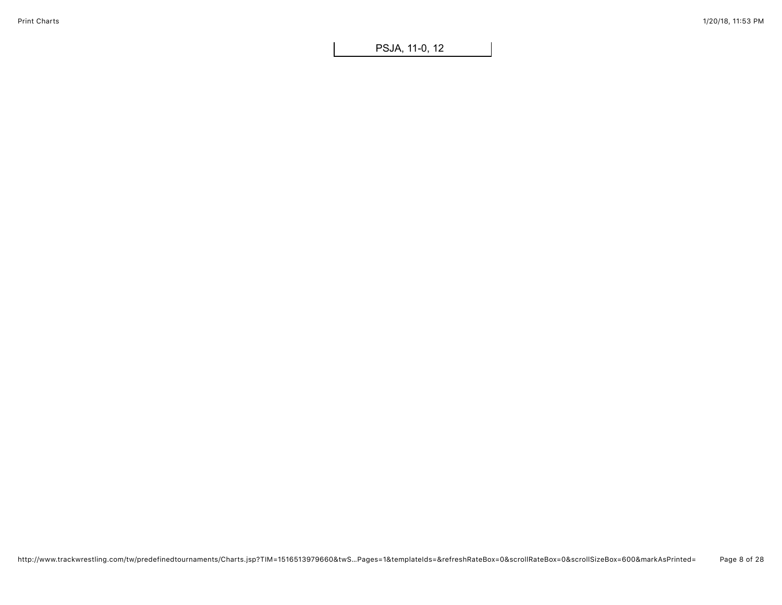PSJA, 11-0, 12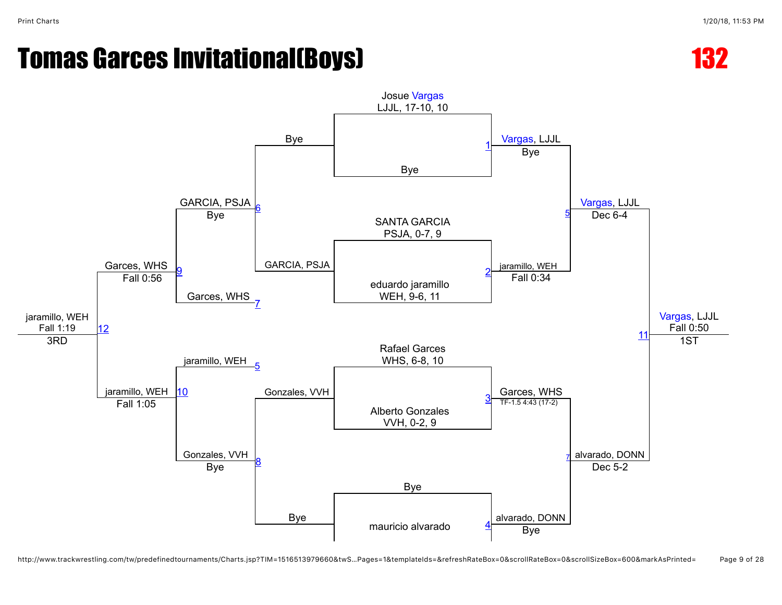# Tomas Garces Invitational(Boys) and the control of the 132



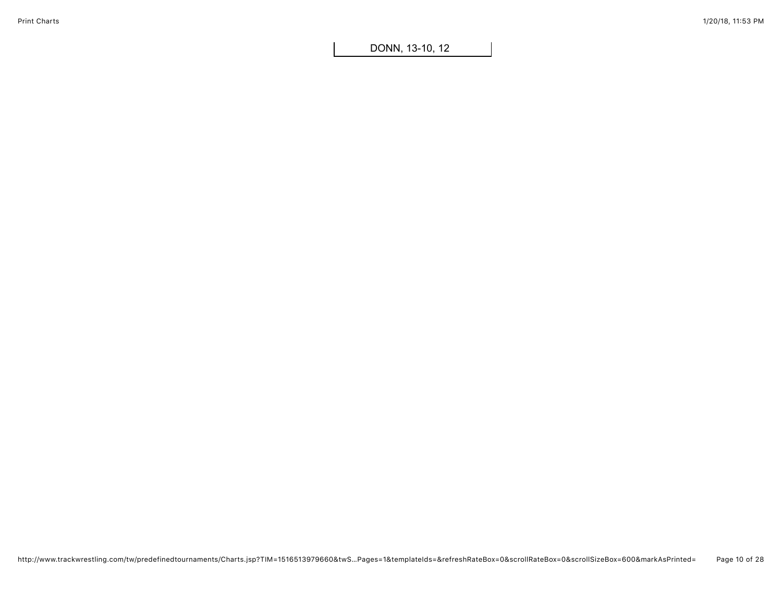DONN, 13-10, 12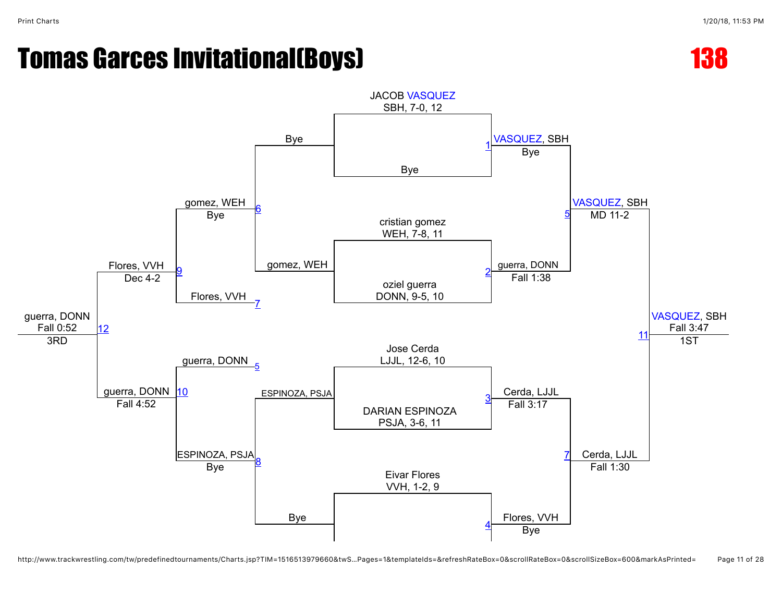



http://www.trackwrestling.com/tw/predefinedtournaments/Charts.jsp?TIM=1516513979660&twS…Pages=1&templateIds=&refreshRateBox=0&scrollRateBox=0&scrollSizeBox=600&markAsPrinted= Page 11 of 28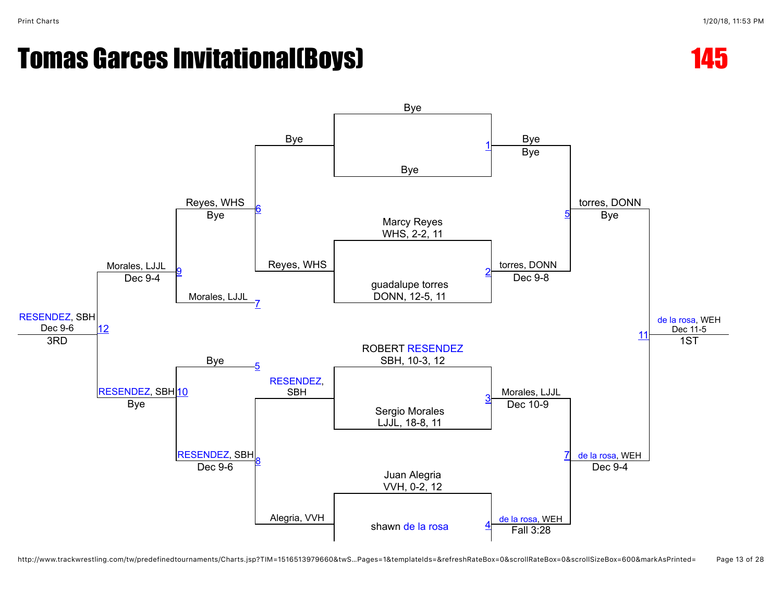

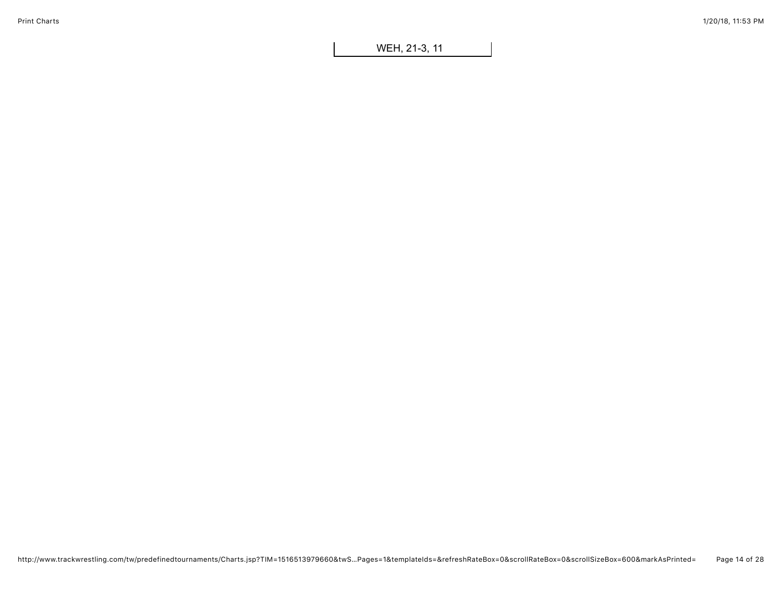WEH, 21-3, 11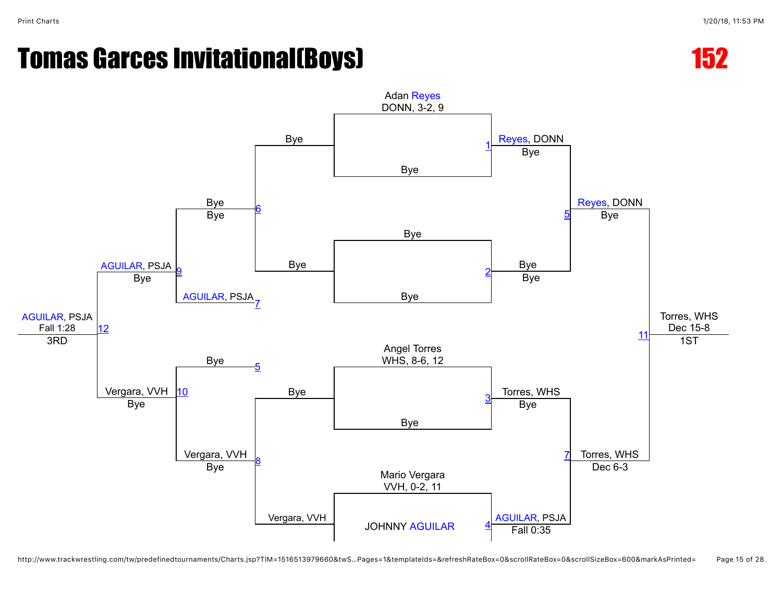

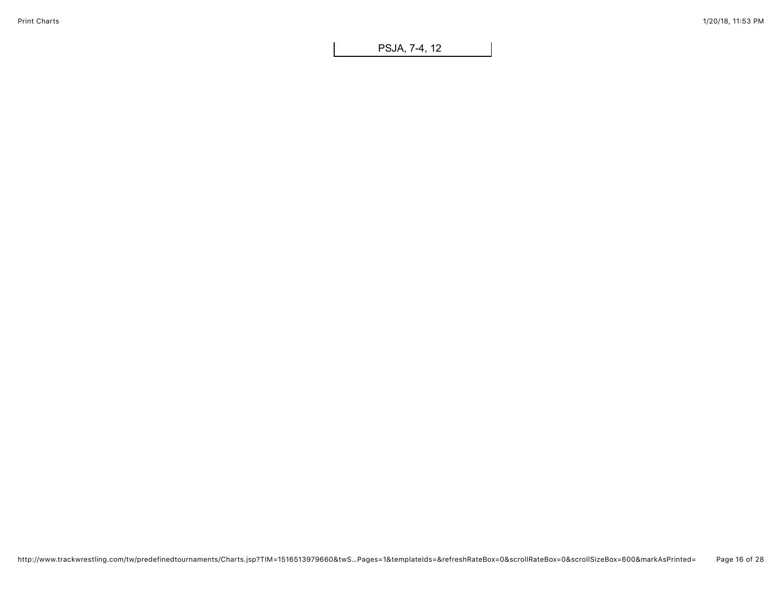PSJA, 7-4, 12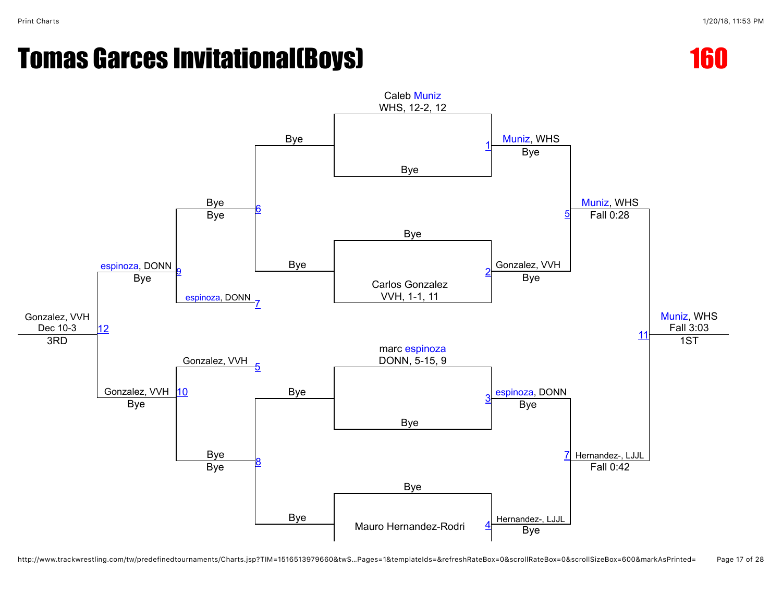



http://www.trackwrestling.com/tw/predefinedtournaments/Charts.jsp?TIM=1516513979660&twS…Pages=1&templateIds=&refreshRateBox=0&scrollRateBox=0&scrollSizeBox=600&markAsPrinted= Page 17 of 28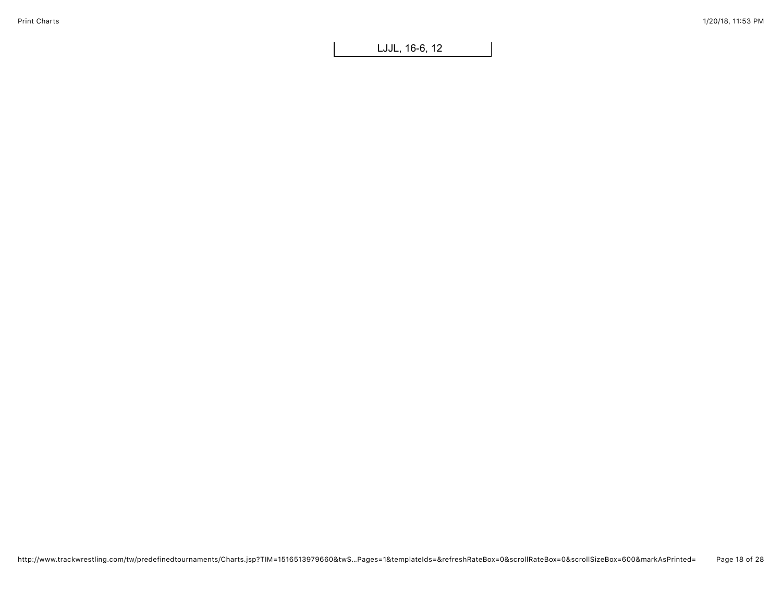LJJL, 16-6, 12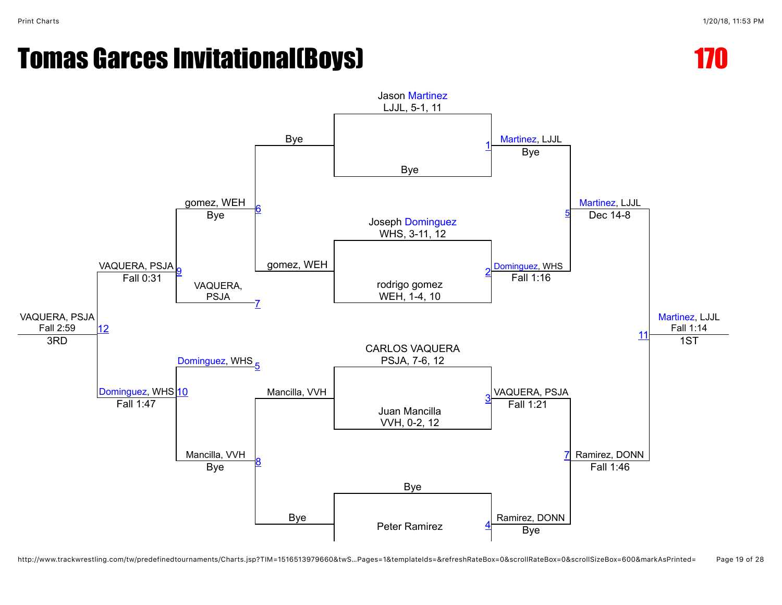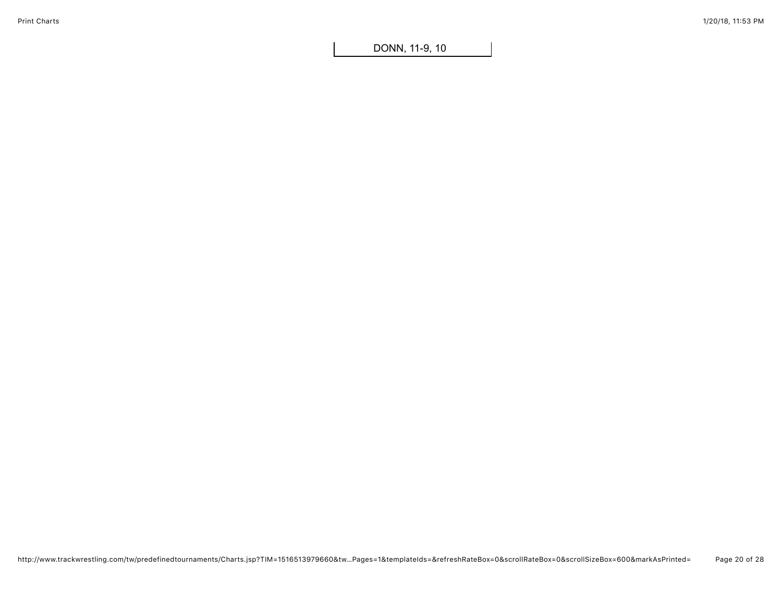DONN, 11-9, 10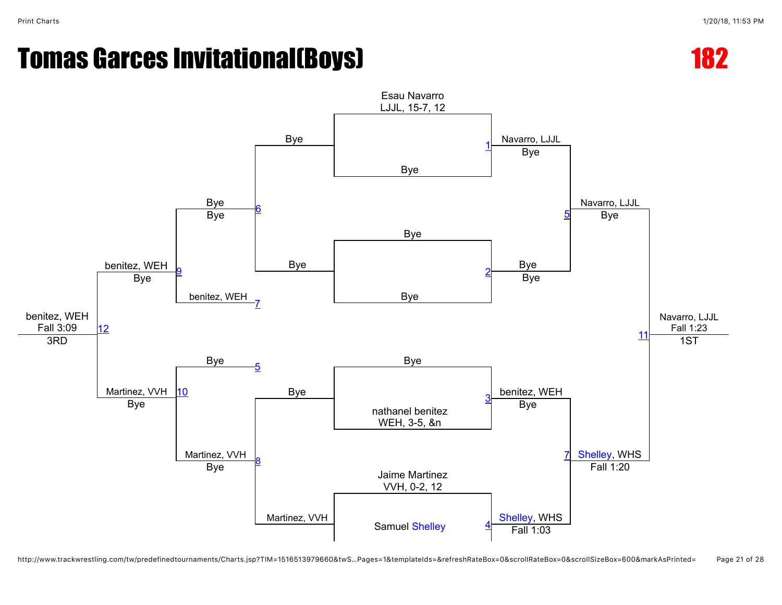Bye

Bye

[6](javascript:openBoutSheet(6,)

[7](javascript:openBoutSheet(7,)

Bye

Bye

benitez, WEH

Bye

[9](javascript:openBoutSheet(9,)



 $1<sup>1</sup>$ 1ST



http://www.trackwrestling.com/tw/predefinedtournaments/Charts.jsp?TIM=1516513979660&twS…Pages=1&templateIds=&refreshRateBox=0&scrollRateBox=0&scrollSizeBox=600&markAsPrinted= Page 21 of 28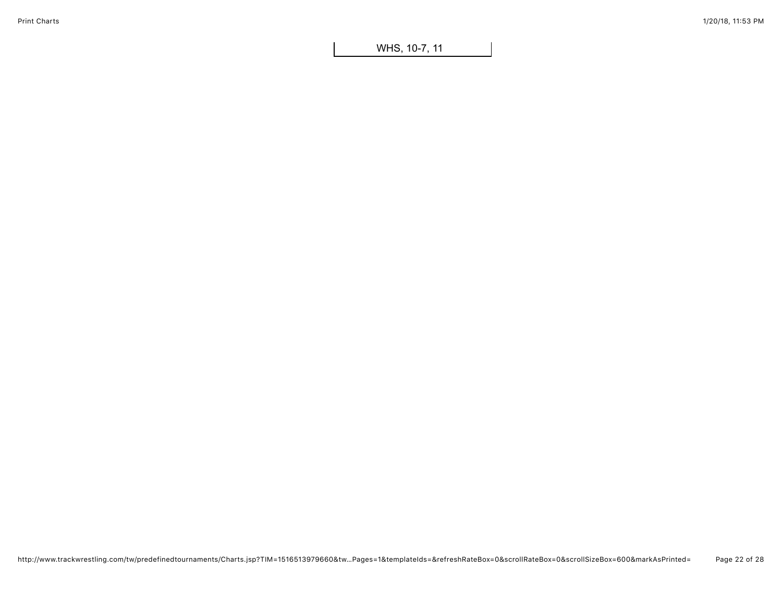WHS, 10-7, 11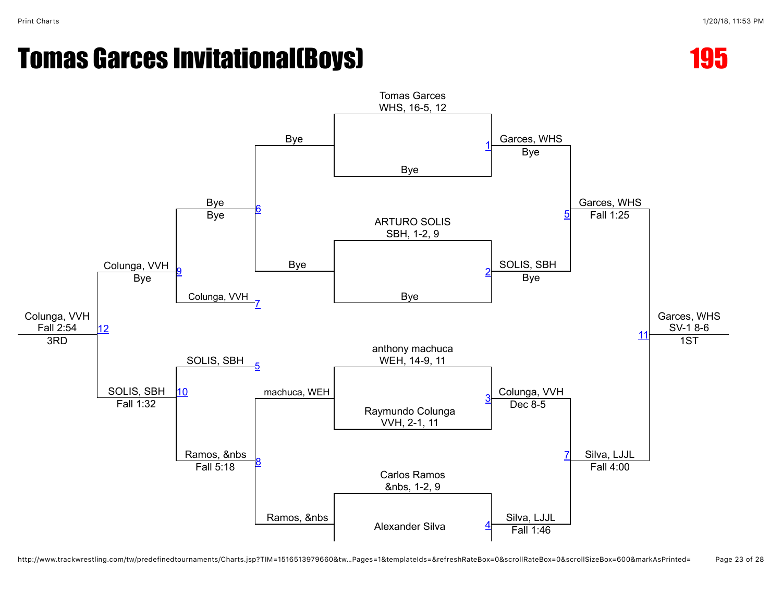



http://www.trackwrestling.com/tw/predefinedtournaments/Charts.jsp?TIM=1516513979660&tw…Pages=1&templateIds=&refreshRateBox=0&scrollRateBox=0&scrollSizeBox=600&markAsPrinted= Page 23 of 28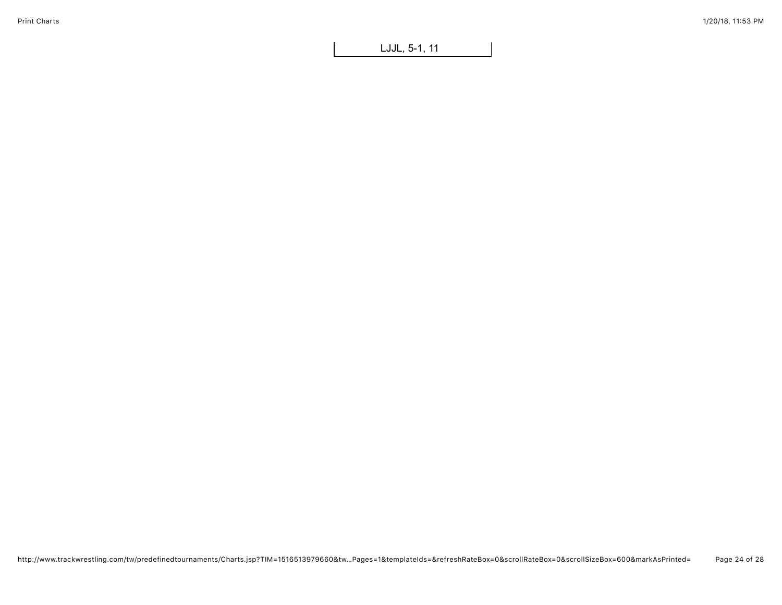LJJL, 5-1, 11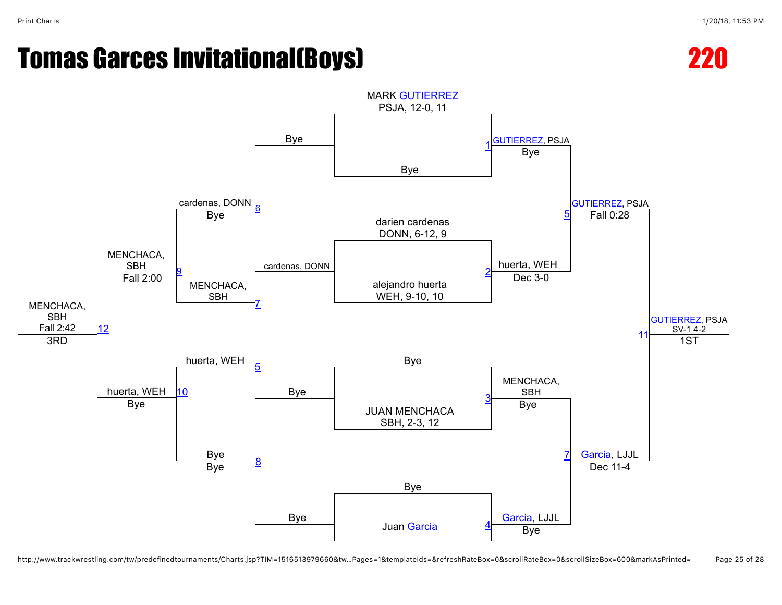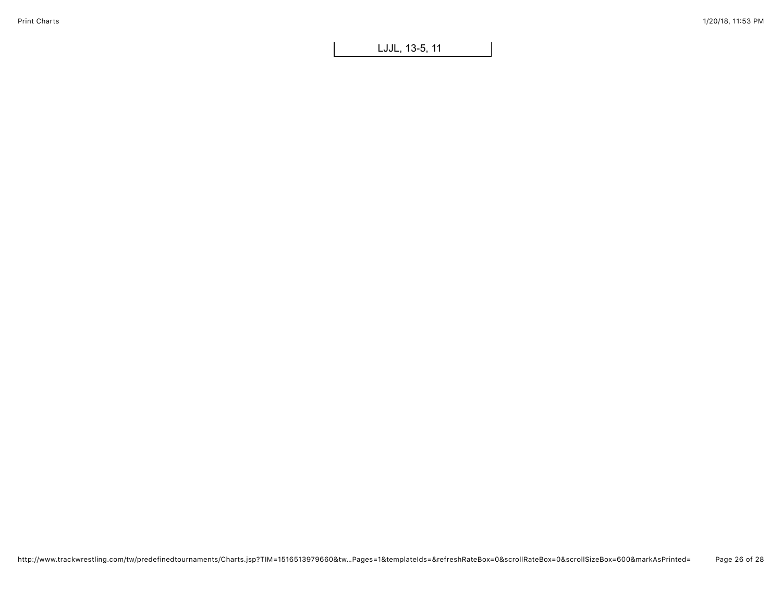LJJL, 13-5, 11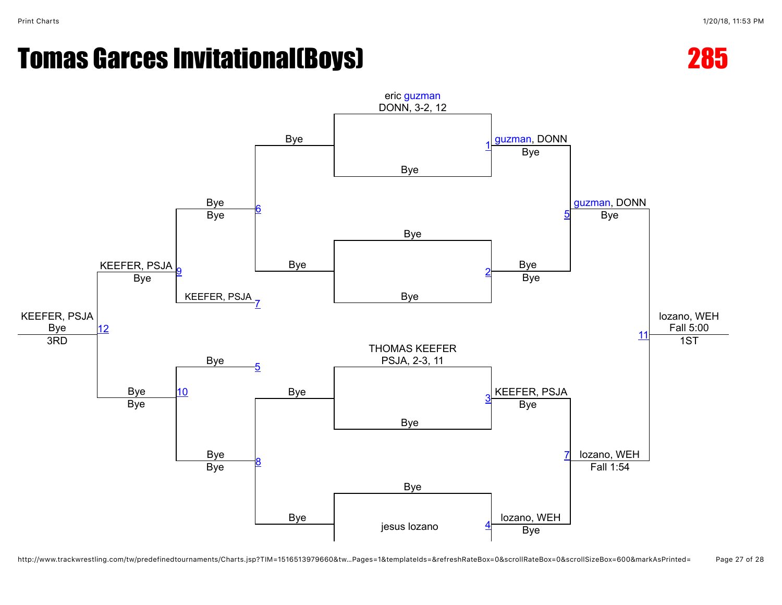



http://www.trackwrestling.com/tw/predefinedtournaments/Charts.jsp?TIM=1516513979660&tw…Pages=1&templateIds=&refreshRateBox=0&scrollRateBox=0&scrollSizeBox=600&markAsPrinted= Page 27 of 28